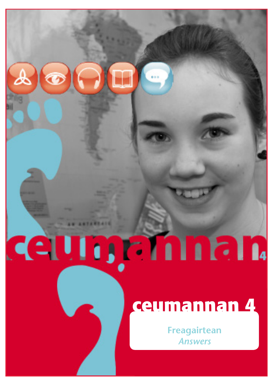# ceungannan

# ceumannan 4

Freagairtean **Answers**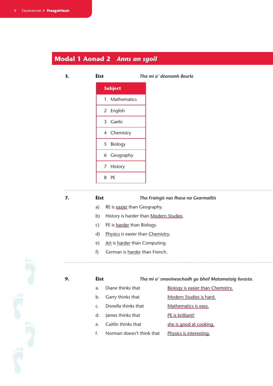# **Modal 1 Aonad 2** *Anns an sgoil*

### **3. Èist** *Tha mi a' dèanamh Beurla*



# **7. Èist** *Tha Fraingis nas fhasa na Gearmailtis*

- a) RE is easier than Geography.
- b) History is harder than Modern Studies.
- c) PE is harder than Biology.
- d) Physics is easier than Chemistry.
- e) Art is harder than Computing.
- f) German is harder than French.



### **9. Èist** *Tha mi a' smaoineachadh gu bheil Matamataig furasta.*

- a. Diane thinks that Biology is easier than Chemistry. b. Garry thinks that Modern Studies is hard. c. Donella thinks that Mathematics is easy.
- d. James thinks that PE is brilliant!
- e. Caitlin thinks that she is good at cooking.
- f. Norman doesn't think that Physics is interesting.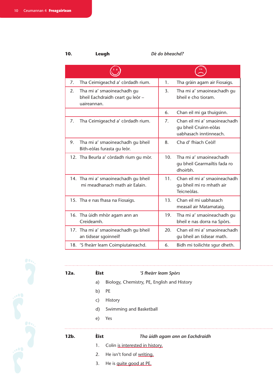# **10. Leugh** *Dè do bheachd?*

| 7. | Tha Ceimigeachd a' còrdadh rium.                                             | 1.              | Tha gràin agam air Fiosaigs.                                                    |
|----|------------------------------------------------------------------------------|-----------------|---------------------------------------------------------------------------------|
| 2. | Tha mi a' smaoineachadh gu<br>bheil Eachdraidh ceart gu leòr-<br>uaireannan. | 3.              | Tha mi a' smaoineachadh gu<br>bheil e cho tioram.                               |
|    |                                                                              | 6.              | Chan eil mi ga thuigsinn.                                                       |
| 7. | Tha Ceimigeachd a' còrdadh rium.                                             | 7 <sub>1</sub>  | Chan eil mi a' smaoineachadh<br>gu bheil Cruinn-eòlas<br>uabhasach inntinneach. |
| 9. | Tha mi a' smaoineachadh gu bheil<br>Bith-eòlas furasta qu leòr.              | 8.              | Cha d' fhiach Ceòl!                                                             |
|    | 12. Tha Beurla a' còrdadh rium gu mòr.                                       | 10.             | Tha mi a' smaoineachadh<br>gu bheil Gearmailtis fada ro<br>dhoirbh.             |
|    | 14. Tha mi a' smaoineachadh gu bheil<br>mi meadhanach math air Ealain.       | 11 <sub>1</sub> | Chan eil mi a' smaoineachadh<br>gu bheil mi ro mhath air<br>Teicneòlas.         |
|    | 15. Tha e nas fhasa na Fiosaigs.                                             | 13.             | Chan eil mi uabhasach<br>measail air Matamataig.                                |
|    | 16. Tha ùidh mhòr agam ann an<br>Creideamh.                                  | 19.             | Tha mi a' smaoineachadh gu<br>bheil e nas dorra na Spòrs.                       |
|    | 17. Tha mi a' smaoineachadh gu bheil<br>an tidsear sgoinneil!                | 20 <sub>1</sub> | Chan eil mi a' smaoineachadh<br>gu bheil an tidsear math.                       |
|    | 18. 'S fheàrr leam Coimpiutaireachd.                                         | 6.              | Bidh mi toilichte squr dheth.                                                   |



| $12b$ . | <b>Eist</b> | Tha ùidh agam ann an Eachdraidh             |
|---------|-------------|---------------------------------------------|
|         | e)          | Yes                                         |
|         | d)          | Swimming and Basketball                     |
|         | C)          | <b>History</b>                              |
|         | b)          | <b>PE</b>                                   |
|         | a)          | Biology, Chemistry, PE, English and History |
| 12a.    | <b>Eist</b> | 'S fheàrr leam Spòrs                        |
|         |             |                                             |

- 1. Colin is interested in history.
- 2. He isn't fond of writing.
- 3. He is quite good at PE.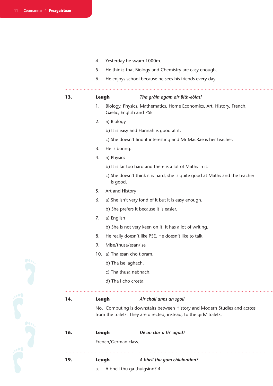| 4. | Yesterday he swam 1000m. |  |  |
|----|--------------------------|--|--|
|----|--------------------------|--|--|

- 5. He thinks that Biology and Chemistry are easy enough.
- $6.$ He enjoys school because he sees his friends every day.

Leugh

 $13.$ 

### Tha gràin agam air Bith-eòlas!

- Biology, Physics, Mathematics, Home Economics, Art, History, French,  $1<sub>1</sub>$ Gaelic, English and PSE
- $2.$ a) Biology
	- b) It is easy and Hannah is good at it.
	- c) She doesn't find it interesting and Mr MacRae is her teacher.
- 3. He is boring.
- 4. a) Physics
	- b) It is far too hard and there is a lot of Maths in it.
	- c) She doesn't think it is hard, she is quite good at Maths and the teacher is good.
- 5. Art and History
- 6. a) She isn't very fond of it but it is easy enough.
	- b) She prefers it because it is easier.
- 7. a) English
	- b) She is not very keen on it. It has a lot of writing.
- $8<sub>1</sub>$ He really doesn't like PSE. He doesn't like to talk.
- 9. Mise/thusa/esan/ise
- 10. a) Tha esan cho tioram.
	- b) Tha ise laghach.
	- c) Tha thusa neònach.
	- d) Tha i cho crosta.

### 14. Air chall anns an sgoil Leugh

No. Computing is downstairs between History and Modern Studies and across from the toilets. They are directed, instead, to the girls' toilets.

### 16. Leugh Dè an clas a th' agad?

French/German class.

- 
- Leugh A bheil thu gam chluinntinn?

 $\mathsf{a}$ .

19.

A bheil thu ga thuigsinn? 4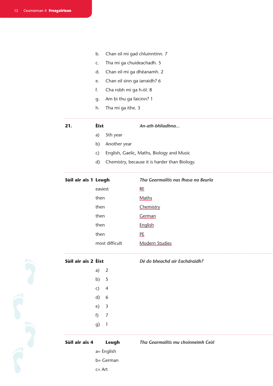**Si**<br>Consider

- b. Chan eil mi gad chluinntinn. 7
- c. Tha mi ga chuideachadh. 5
- d. Chan eil mi ga dhèanamh. 2
- e. Chan eil sinn ga iarraidh? 6
- f. Cha robh mi ga h-òl. 8
- g. Am bi thu ga faicinn? 1
- h. Tha mi ga ithe. 3

### **21. Èist** *An-ath-bhliadhna...*

- a) 5th year
- b) Another year
- c) English, Gaelic, Maths, Biology and Music
- d) Chemistry, because it is harder than Biology.

|  |  | Sùil air ais 1 Leugh |
|--|--|----------------------|
|--|--|----------------------|

# **Sùil air ais 1 Leugh** *Tha Gearmailtis nas fhasa na Beurla*

| easiest        | <b>RE</b>      |
|----------------|----------------|
| then           | Maths          |
| then           | Chemistry      |
| then           | German         |
| then           | English        |
| then           | PE             |
| most difficult | Modern Studies |



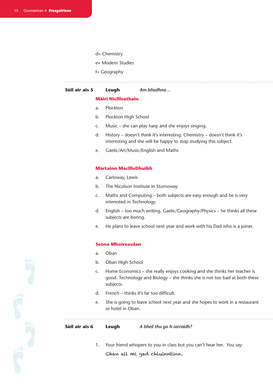- d= Chemistry
- e= Modern Studies
- f= Geography

# **Sùil air ais 5 Leugh** *Am-bliadhna…*

### **Màiri NicIlleathain**

- a. Plockton
- b. Plockton High School
- c. Music she can play harp and she enjoys singing.
- d. History doesn't think it's interesting. Chemistry doesn't think it's interesting and she will be happy to stop studying this subject.
- e. Gaelic/Art/Music/English and Maths

### **Màrtainn MacIlleDhuibh**

- a. Carloway, Lewis
- b. The Nicolson Institute in Stornoway
- c. Maths and Computing both subjects are easy enough and he is very interested in Technology.
- d. English too much writing. Gaelic/Geography/Physics he thinks all these subjects are boring.
- e. He plans to leave school next year and work with his Dad who is a joiner.

### **Seòna Mhoireasdan**

- a. Oban
- b. Oban High School
- c. Home Economics she really enjoys cooking and she thinks her teacher is good. Technology and Biology – she thinks she is not too bad at both these subjects.
- d. French thinks it's far too difficult.
- e. She is going to leave school next year and she hopes to work in a restaurant or hotel in Oban.

### **Sùil air ais 6 Leugh** *A bheil thu ga h-iarraidh?*

1. Your friend whispers to you in class but you can't hear her. You say: Chan eil mi gad chluinntinn.

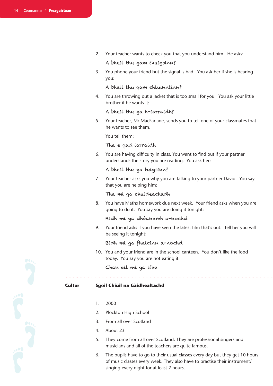2. Your teacher wants to check you that you understand him. He asks:

# A bheil thu gam thuigsinn?

3. You phone your friend but the signal is bad. You ask her if she is hearing you:

## A bheil thu gam chluinntinn?

4. You are throwing out a jacket that is too small for you. You ask your little brother if he wants it:

### A bheil thu ga h-iarraidh?

5. Your teacher, Mr MacFarlane, sends you to tell one of your classmates that he wants to see them.

You tell them:

### Tha e gad iarraidh

6. You are having difficulty in class. You want to find out if your partner understands the story you are reading. You ask her:

### A bheil thu ga tuigsinn?

7. Your teacher asks you why you are talking to your partner David. You say that you are helping him:

### Tha mi ga chuideachadh

8. You have Maths homework due next week. Your friend asks when you are going to do it. You say you are doing it tonight:

Bidh mi ga dhèanamh a-nochd

9. Your friend asks if you have seen the latest film that's out. Tell her you will be seeing it tonight:

### Bidh mi ga fhaicinn a-nochd

10. You and your friend are in the school canteen. You don't like the food today. You say you are not eating it:

Chan eil mi ga ithe

### **Cultar Sgoil Chiùil na Gàidhealtachd**

- 1. 2000
- 2. Plockton High School
- 3. From all over Scotland
- 4. About 23
- 5. They come from all over Scotland. They are professional singers and musicians and all of the teachers are quite famous.
- 6. The pupils have to go to their usual classes every day but they get 10 hours of music classes every week. They also have to practise their instrument/ singing every night for at least 2 hours.